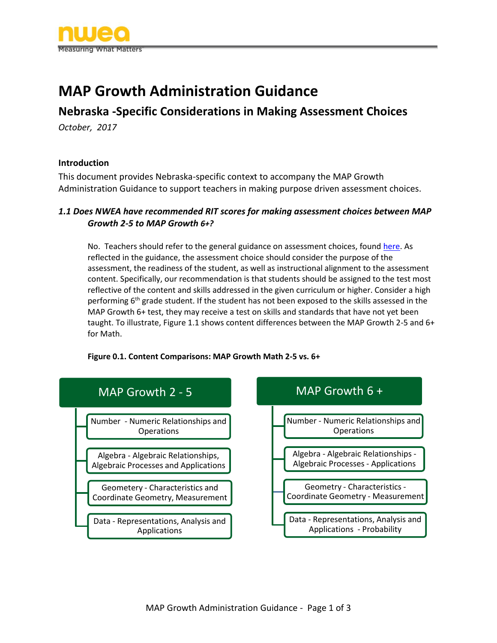

# **MAP Growth Administration Guidance**

# **Nebraska -Specific Considerations in Making Assessment Choices**

*October, 2017*

#### **Introduction**

This document provides Nebraska-specific context to accompany the MAP Growth Administration Guidance to support teachers in making purpose driven assessment choices.

#### *1.1 Does NWEA have recommended RIT scores for making assessment choices between MAP Growth 2-5 to MAP Growth 6+?*

No. Teachers should refer to the general guidance on assessment choices, found [here.](https://www.nwea.org/resources/map-growth-administration-guidance/) As reflected in the guidance, the assessment choice should consider the purpose of the assessment, the readiness of the student, as well as instructional alignment to the assessment content. Specifically, our recommendation is that students should be assigned to the test most reflective of the content and skills addressed in the given curriculum or higher. Consider a high performing  $6<sup>th</sup>$  grade student. If the student has not been exposed to the skills assessed in the MAP Growth 6+ test, they may receive a test on skills and standards that have not yet been taught. To illustrate, Figure 1.1 shows content differences between the MAP Growth 2-5 and 6+ for Math.



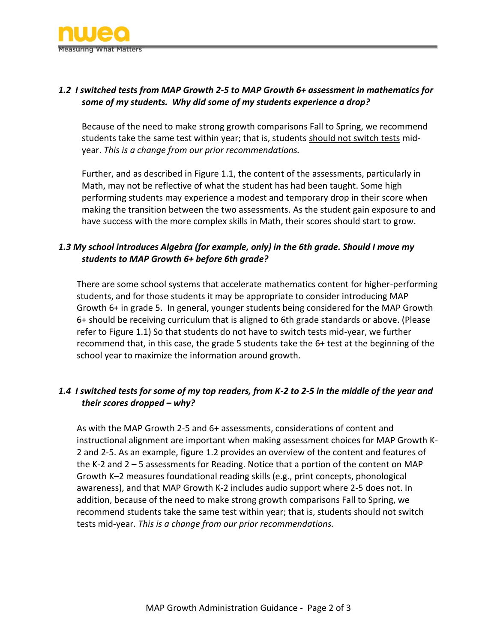

# *1.2 I switched tests from MAP Growth 2-5 to MAP Growth 6+ assessment in mathematics for some of my students. Why did some of my students experience a drop?*

Because of the need to make strong growth comparisons Fall to Spring, we recommend students take the same test within year; that is, students should not switch tests midyear. *This is a change from our prior recommendations.* 

Further, and as described in Figure 1.1, the content of the assessments, particularly in Math, may not be reflective of what the student has had been taught. Some high performing students may experience a modest and temporary drop in their score when making the transition between the two assessments. As the student gain exposure to and have success with the more complex skills in Math, their scores should start to grow.

### *1.3 My school introduces Algebra (for example, only) in the 6th grade. Should I move my students to MAP Growth 6+ before 6th grade?*

There are some school systems that accelerate mathematics content for higher-performing students, and for those students it may be appropriate to consider introducing MAP Growth 6+ in grade 5. In general, younger students being considered for the MAP Growth 6+ should be receiving curriculum that is aligned to 6th grade standards or above. (Please refer to Figure 1.1) So that students do not have to switch tests mid-year, we further recommend that, in this case, the grade 5 students take the 6+ test at the beginning of the school year to maximize the information around growth.

# *1.4 I switched tests for some of my top readers, from K-2 to 2-5 in the middle of the year and their scores dropped – why?*

As with the MAP Growth 2-5 and 6+ assessments, considerations of content and instructional alignment are important when making assessment choices for MAP Growth K-2 and 2-5. As an example, figure 1.2 provides an overview of the content and features of the K-2 and 2 – 5 assessments for Reading. Notice that a portion of the content on MAP Growth K–2 measures foundational reading skills (e.g., print concepts, phonological awareness), and that MAP Growth K-2 includes audio support where 2-5 does not. In addition, because of the need to make strong growth comparisons Fall to Spring, we recommend students take the same test within year; that is, students should not switch tests mid-year. *This is a change from our prior recommendations.*